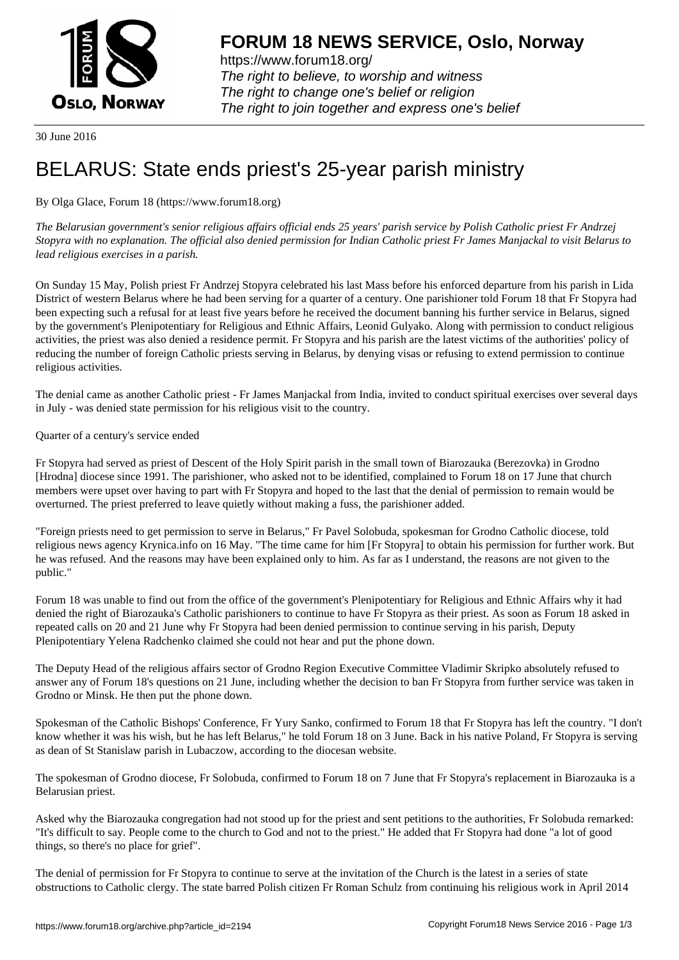

https://www.forum18.org/ The right to believe, to worship and witness The right to change one's belief or religion [The right to join together a](https://www.forum18.org/)nd express one's belief

30 June 2016

## [BELARUS: Stat](https://www.forum18.org)e ends priest's 25-year parish ministry

By Olga Glace, Forum 18 (https://www.forum18.org)

*The Belarusian government's senior religious affairs official ends 25 years' parish service by Polish Catholic priest Fr Andrzej Stopyra with no explanation. The official also denied permission for Indian Catholic priest Fr James Manjackal to visit Belarus to lead religious exercises in a parish.*

On Sunday 15 May, Polish priest Fr Andrzej Stopyra celebrated his last Mass before his enforced departure from his parish in Lida District of western Belarus where he had been serving for a quarter of a century. One parishioner told Forum 18 that Fr Stopyra had been expecting such a refusal for at least five years before he received the document banning his further service in Belarus, signed by the government's Plenipotentiary for Religious and Ethnic Affairs, Leonid Gulyako. Along with permission to conduct religious activities, the priest was also denied a residence permit. Fr Stopyra and his parish are the latest victims of the authorities' policy of reducing the number of foreign Catholic priests serving in Belarus, by denying visas or refusing to extend permission to continue religious activities.

The denial came as another Catholic priest - Fr James Manjackal from India, invited to conduct spiritual exercises over several days in July - was denied state permission for his religious visit to the country.

Quarter of a century's service ended

Fr Stopyra had served as priest of Descent of the Holy Spirit parish in the small town of Biarozauka (Berezovka) in Grodno [Hrodna] diocese since 1991. The parishioner, who asked not to be identified, complained to Forum 18 on 17 June that church members were upset over having to part with Fr Stopyra and hoped to the last that the denial of permission to remain would be overturned. The priest preferred to leave quietly without making a fuss, the parishioner added.

"Foreign priests need to get permission to serve in Belarus," Fr Pavel Solobuda, spokesman for Grodno Catholic diocese, told religious news agency Krynica.info on 16 May. "The time came for him [Fr Stopyra] to obtain his permission for further work. But he was refused. And the reasons may have been explained only to him. As far as I understand, the reasons are not given to the public."

Forum 18 was unable to find out from the office of the government's Plenipotentiary for Religious and Ethnic Affairs why it had denied the right of Biarozauka's Catholic parishioners to continue to have Fr Stopyra as their priest. As soon as Forum 18 asked in repeated calls on 20 and 21 June why Fr Stopyra had been denied permission to continue serving in his parish, Deputy Plenipotentiary Yelena Radchenko claimed she could not hear and put the phone down.

The Deputy Head of the religious affairs sector of Grodno Region Executive Committee Vladimir Skripko absolutely refused to answer any of Forum 18's questions on 21 June, including whether the decision to ban Fr Stopyra from further service was taken in Grodno or Minsk. He then put the phone down.

Spokesman of the Catholic Bishops' Conference, Fr Yury Sanko, confirmed to Forum 18 that Fr Stopyra has left the country. "I don't know whether it was his wish, but he has left Belarus," he told Forum 18 on 3 June. Back in his native Poland, Fr Stopyra is serving as dean of St Stanislaw parish in Lubaczow, according to the diocesan website.

The spokesman of Grodno diocese, Fr Solobuda, confirmed to Forum 18 on 7 June that Fr Stopyra's replacement in Biarozauka is a Belarusian priest.

Asked why the Biarozauka congregation had not stood up for the priest and sent petitions to the authorities, Fr Solobuda remarked: "It's difficult to say. People come to the church to God and not to the priest." He added that Fr Stopyra had done "a lot of good things, so there's no place for grief".

The denial of permission for Fr Stopyra to continue to serve at the invitation of the Church is the latest in a series of state obstructions to Catholic clergy. The state barred Polish citizen Fr Roman Schulz from continuing his religious work in April 2014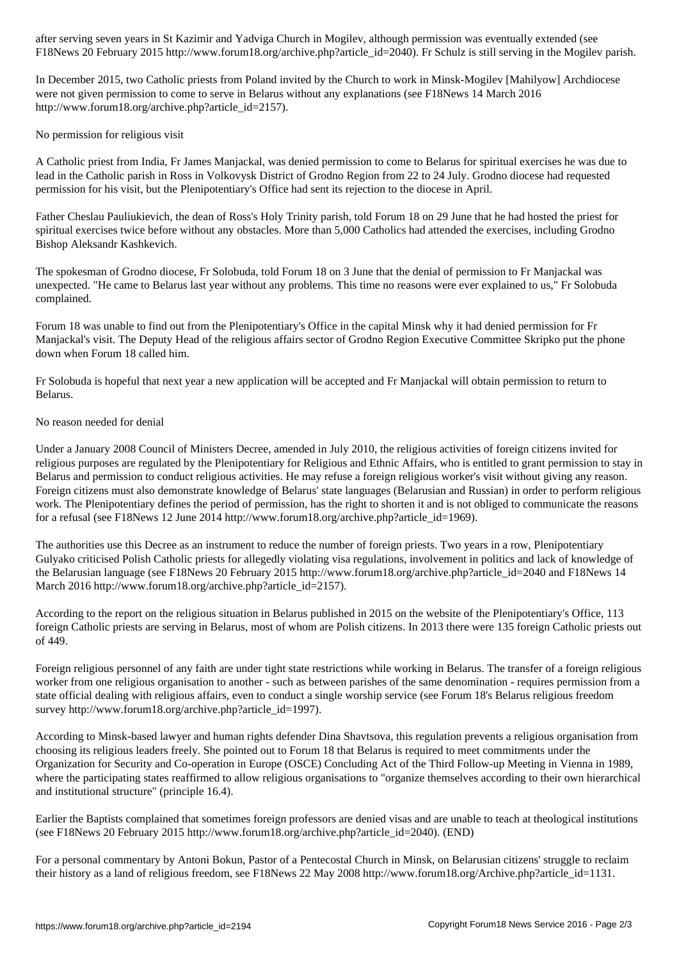Figure 2015 http://www.forumlar.com/serving in the Mogilev particle is still serving in the Mogilev particle particle

In December 2015, two Catholic priests from Poland invited by the Church to work in Minsk-Mogilev [Mahilyow] Archdiocese were not given permission to come to serve in Belarus without any explanations (see F18News 14 March 2016 http://www.forum18.org/archive.php?article\_id=2157).

No permission for religious visit

A Catholic priest from India, Fr James Manjackal, was denied permission to come to Belarus for spiritual exercises he was due to lead in the Catholic parish in Ross in Volkovysk District of Grodno Region from 22 to 24 July. Grodno diocese had requested permission for his visit, but the Plenipotentiary's Office had sent its rejection to the diocese in April.

Father Cheslau Pauliukievich, the dean of Ross's Holy Trinity parish, told Forum 18 on 29 June that he had hosted the priest for spiritual exercises twice before without any obstacles. More than 5,000 Catholics had attended the exercises, including Grodno Bishop Aleksandr Kashkevich.

The spokesman of Grodno diocese, Fr Solobuda, told Forum 18 on 3 June that the denial of permission to Fr Manjackal was unexpected. "He came to Belarus last year without any problems. This time no reasons were ever explained to us," Fr Solobuda complained.

Forum 18 was unable to find out from the Plenipotentiary's Office in the capital Minsk why it had denied permission for Fr Manjackal's visit. The Deputy Head of the religious affairs sector of Grodno Region Executive Committee Skripko put the phone down when Forum 18 called him.

Fr Solobuda is hopeful that next year a new application will be accepted and Fr Manjackal will obtain permission to return to Belarus.

No reason needed for denial

Under a January 2008 Council of Ministers Decree, amended in July 2010, the religious activities of foreign citizens invited for religious purposes are regulated by the Plenipotentiary for Religious and Ethnic Affairs, who is entitled to grant permission to stay in Belarus and permission to conduct religious activities. He may refuse a foreign religious worker's visit without giving any reason. Foreign citizens must also demonstrate knowledge of Belarus' state languages (Belarusian and Russian) in order to perform religious work. The Plenipotentiary defines the period of permission, has the right to shorten it and is not obliged to communicate the reasons for a refusal (see F18News 12 June 2014 http://www.forum18.org/archive.php?article\_id=1969).

The authorities use this Decree as an instrument to reduce the number of foreign priests. Two years in a row, Plenipotentiary Gulyako criticised Polish Catholic priests for allegedly violating visa regulations, involvement in politics and lack of knowledge of the Belarusian language (see F18News 20 February 2015 http://www.forum18.org/archive.php?article\_id=2040 and F18News 14 March 2016 http://www.forum18.org/archive.php?article\_id=2157).

According to the report on the religious situation in Belarus published in 2015 on the website of the Plenipotentiary's Office, 113 foreign Catholic priests are serving in Belarus, most of whom are Polish citizens. In 2013 there were 135 foreign Catholic priests out of 449.

Foreign religious personnel of any faith are under tight state restrictions while working in Belarus. The transfer of a foreign religious worker from one religious organisation to another - such as between parishes of the same denomination - requires permission from a state official dealing with religious affairs, even to conduct a single worship service (see Forum 18's Belarus religious freedom survey http://www.forum18.org/archive.php?article\_id=1997).

According to Minsk-based lawyer and human rights defender Dina Shavtsova, this regulation prevents a religious organisation from choosing its religious leaders freely. She pointed out to Forum 18 that Belarus is required to meet commitments under the Organization for Security and Co-operation in Europe (OSCE) Concluding Act of the Third Follow-up Meeting in Vienna in 1989, where the participating states reaffirmed to allow religious organisations to "organize themselves according to their own hierarchical and institutional structure" (principle 16.4).

Earlier the Baptists complained that sometimes foreign professors are denied visas and are unable to teach at theological institutions (see F18News 20 February 2015 http://www.forum18.org/archive.php?article\_id=2040). (END)

For a personal commentary by Antoni Bokun, Pastor of a Pentecostal Church in Minsk, on Belarusian citizens' struggle to reclaim their history as a land of religious freedom, see F18News 22 May 2008 http://www.forum18.org/Archive.php?article\_id=1131.